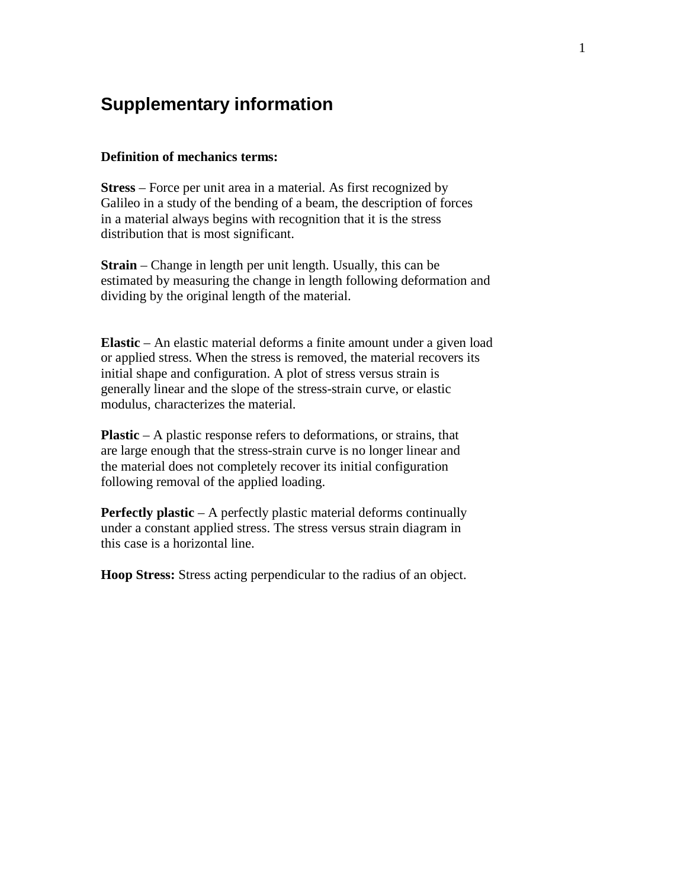# **Supplementary information**

## **Definition of mechanics terms:**

**Stress** – Force per unit area in a material. As first recognized by Galileo in a study of the bending of a beam, the description of forces in a material always begins with recognition that it is the stress distribution that is most significant.

**Strain** – Change in length per unit length. Usually, this can be estimated by measuring the change in length following deformation and dividing by the original length of the material.

**Elastic** – An elastic material deforms a finite amount under a given load or applied stress. When the stress is removed, the material recovers its initial shape and configuration. A plot of stress versus strain is generally linear and the slope of the stress-strain curve, or elastic modulus, characterizes the material.

**Plastic** – A plastic response refers to deformations, or strains, that are large enough that the stress-strain curve is no longer linear and the material does not completely recover its initial configuration following removal of the applied loading.

**Perfectly plastic** – A perfectly plastic material deforms continually under a constant applied stress. The stress versus strain diagram in this case is a horizontal line.

**Hoop Stress:** Stress acting perpendicular to the radius of an object.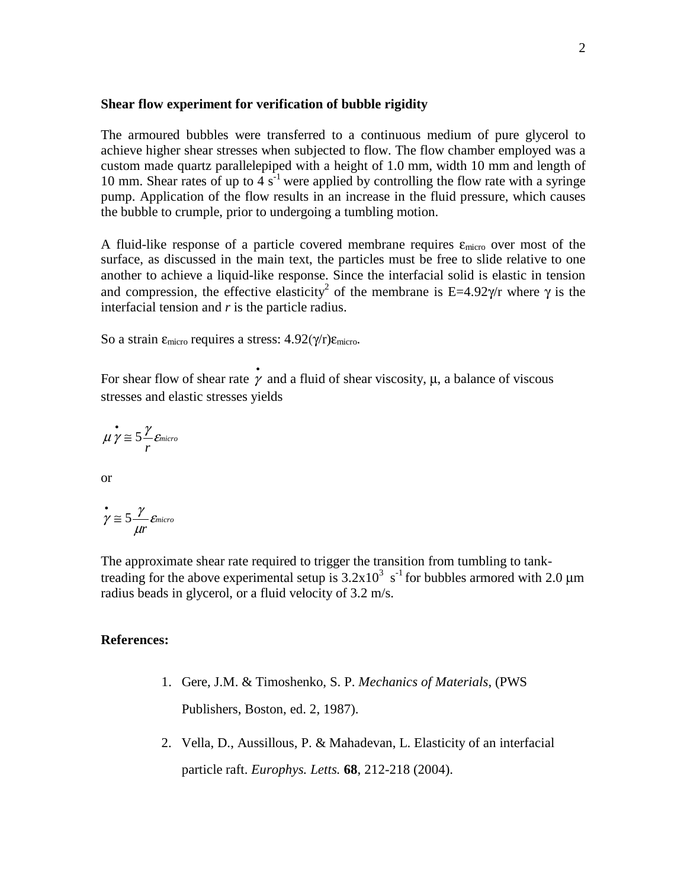#### **Shear flow experiment for verification of bubble rigidity**

The armoured bubbles were transferred to a continuous medium of pure glycerol to achieve higher shear stresses when subjected to flow. The flow chamber employed was a custom made quartz parallelepiped with a height of 1.0 mm, width 10 mm and length of 10 mm. Shear rates of up to  $4 s<sup>-1</sup>$  were applied by controlling the flow rate with a syringe pump. Application of the flow results in an increase in the fluid pressure, which causes the bubble to crumple, prior to undergoing a tumbling motion.

A fluid-like response of a particle covered membrane requires  $\varepsilon_{\text{micro}}$  over most of the surface, as discussed in the main text, the particles must be free to slide relative to one another to achieve a liquid-like response. Since the interfacial solid is elastic in tension and compression, the effective elasticity<sup>2</sup> of the membrane is E=4.92 $\gamma$ /r where  $\gamma$  is the interfacial tension and *r* is the particle radius.

So a strain  $\epsilon_{\text{micro}}$  requires a stress:  $4.92(\gamma/r)\epsilon_{\text{micro}}$ .

For shear flow of shear rate  $\dot{\gamma}$  and a fluid of shear viscosity,  $\mu$ , a balance of viscous stresses and elastic stresses yields

$$
\mu \gamma \approx 5 \frac{\gamma}{r} \varepsilon_{micro}
$$

or

$$
\gamma \cong 5\frac{\gamma}{\mu r}\varepsilon_{micro}
$$

The approximate shear rate required to trigger the transition from tumbling to tanktreading for the above experimental setup is  $3.2 \times 10^3$  s<sup>-1</sup> for bubbles armored with 2.0 µm radius beads in glycerol, or a fluid velocity of 3.2 m/s.

### **References:**

- 1. Gere, J.M. & Timoshenko, S. P. *Mechanics of Materials*, (PWS Publishers, Boston, ed. 2, 1987).
- 2. Vella, D., Aussillous, P. & Mahadevan, L. Elasticity of an interfacial particle raft. *Europhys. Letts.* **68**, 212-218 (2004).